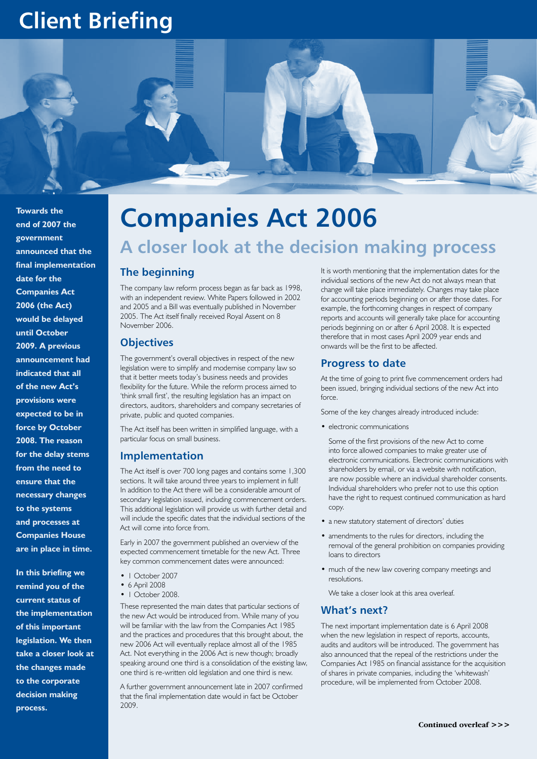# **Client Briefing**



**Towards the end of 2007 the government announced that the final implementation date for the Companies Act 2006 (the Act) would be delayed until October 2009. A previous announcement had indicated that all of the new Act's provisions were expected to be in force by October 2008. The reason for the delay stems from the need to ensure that the necessary changes to the systems and processes at Companies House are in place in time.** 

**In this briefing we remind you of the current status of the implementation of this important legislation. We then take a closer look at the changes made to the corporate decision making process.**

# **Companies Act 2006**

# **A closer look at the decision making process**

## **The beginning**

The company law reform process began as far back as 1998, with an independent review. White Papers followed in 2002 and 2005 and a Bill was eventually published in November 2005. The Act itself finally received Royal Assent on 8 November 2006.

#### **Objectives**

The government's overall objectives in respect of the new legislation were to simplify and modernise company law so that it better meets today's business needs and provides flexibility for the future. While the reform process aimed to 'think small first', the resulting legislation has an impact on directors, auditors, shareholders and company secretaries of private, public and quoted companies.

The Act itself has been written in simplified language, with a particular focus on small business.

#### **Implementation**

The Act itself is over 700 long pages and contains some 1,300 sections. It will take around three years to implement in full! In addition to the Act there will be a considerable amount of secondary legislation issued, including commencement orders. This additional legislation will provide us with further detail and will include the specific dates that the individual sections of the Act will come into force from.

Early in 2007 the government published an overview of the expected commencement timetable for the new Act. Three key common commencement dates were announced:

- | October 2007
- • 6 April 2008
- | October 2008.

These represented the main dates that particular sections of the new Act would be introduced from. While many of you will be familiar with the law from the Companies Act 1985 and the practices and procedures that this brought about, the new 2006 Act will eventually replace almost all of the 1985 Act. Not everything in the 2006 Act is new though; broadly speaking around one third is a consolidation of the existing law, one third is re-written old legislation and one third is new.

A further government announcement late in 2007 confirmed that the final implementation date would in fact be October 2009.

It is worth mentioning that the implementation dates for the individual sections of the new Act do not always mean that change will take place immediately. Changes may take place for accounting periods beginning on or after those dates. For example, the forthcoming changes in respect of company reports and accounts will generally take place for accounting periods beginning on or after 6 April 2008. It is expected therefore that in most cases April 2009 year ends and onwards will be the first to be affected.

## **Progress to date**

At the time of going to print five commencement orders had been issued, bringing individual sections of the new Act into force.

Some of the key changes already introduced include:

• electronic communications

Some of the first provisions of the new Act to come into force allowed companies to make greater use of electronic communications. Electronic communications with shareholders by email, or via a website with notification, are now possible where an individual shareholder consents. Individual shareholders who prefer not to use this option have the right to request continued communication as hard copy.

- a new statutory statement of directors' duties
- amendments to the rules for directors, including the removal of the general prohibition on companies providing loans to directors
- much of the new law covering company meetings and resolutions.

We take a closer look at this area overleaf.

## **What's next?**

The next important implementation date is 6 April 2008 when the new legislation in respect of reports, accounts, audits and auditors will be introduced. The government has also announced that the repeal of the restrictions under the Companies Act 1985 on financial assistance for the acquisition of shares in private companies, including the 'whitewash' procedure, will be implemented from October 2008.